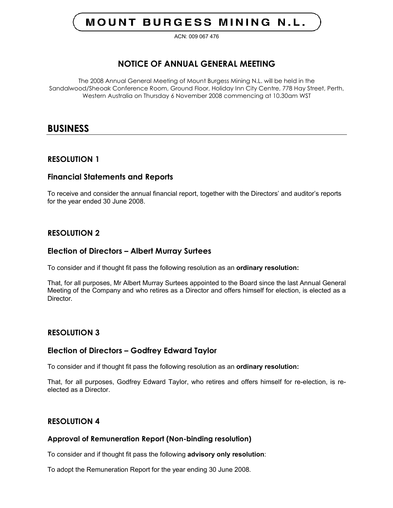# **MOUNT BURGESS MINING N.L.**

ACN: 009 067 476

# **NOTICE OF ANNUAL GENERAL MEETING**

The 2008 Annual General Meeting of Mount Burgess Mining N.L. will be held in the Sandalwood/Sheoak Conference Room, Ground Floor, Holiday Inn City Centre, 778 Hay Street, Perth, Western Australia on Thursday 6 November 2008 commencing at 10.30am WST

# **BUSINESS**

# **RESOLUTION 1**

# **Financial Statements and Reports**

To receive and consider the annual financial report, together with the Directors' and auditor's reports for the year ended 30 June 2008.

# **RESOLUTION 2**

# **Election of Directors – Albert Murray Surtees**

To consider and if thought fit pass the following resolution as an **ordinary resolution:**

That, for all purposes, Mr Albert Murray Surtees appointed to the Board since the last Annual General Meeting of the Company and who retires as a Director and offers himself for election, is elected as a **Director** 

## **RESOLUTION 3**

### **Election of Directors – Godfrey Edward Taylor**

To consider and if thought fit pass the following resolution as an **ordinary resolution:**

That, for all purposes, Godfrey Edward Taylor, who retires and offers himself for re-election, is reelected as a Director.

## **RESOLUTION 4**

### **Approval of Remuneration Report (Non-binding resolution)**

To consider and if thought fit pass the following **advisory only resolution**:

To adopt the Remuneration Report for the year ending 30 June 2008.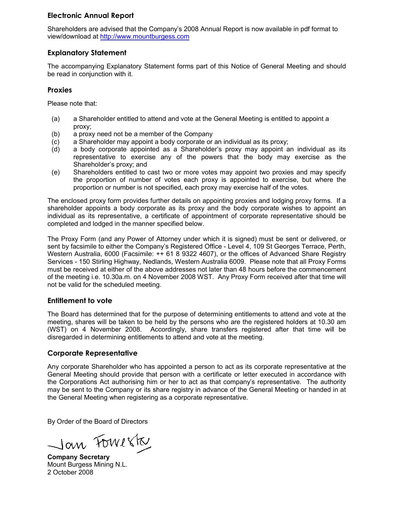# **Electronic Annual Report**

Shareholders are advised that the Company's 2008 Annual Report is now available in pdf format to view/download at http://www.mountburgess.com

# **Explanatory Statement**

The accompanying Explanatory Statement forms part of this Notice of General Meeting and should be read in conjunction with it.

# **Proxies**

Please note that:

- (a) a Shareholder entitled to attend and vote at the General Meeting is entitled to appoint a proxy;
- (b) a proxy need not be a member of the Company
- (c) a Shareholder may appoint a body corporate or an individual as its proxy;
- (d) a body corporate appointed as a Shareholder's proxy may appoint an individual as its representative to exercise any of the powers that the body may exercise as the Shareholder's proxy; and
- (e) Shareholders entitled to cast two or more votes may appoint two proxies and may specify the proportion of number of votes each proxy is appointed to exercise, but where the proportion or number is not specified, each proxy may exercise half of the votes.

The enclosed proxy form provides further details on appointing proxies and lodging proxy forms. If a shareholder appoints a body corporate as its proxy and the body corporate wishes to appoint an individual as its representative, a certificate of appointment of corporate representative should be completed and lodged in the manner specified below.

The Proxy Form (and any Power of Attorney under which it is signed) must be sent or delivered, or sent by facsimile to either the Company's Registered Office - Level 4, 109 St Georges Terrace, Perth, Western Australia, 6000 (Facsimile: ++ 61 8 9322 4607), or the offices of Advanced Share Registry Services - 150 Stirling Highway, Nedlands, Western Australia 6009. Please note that all Proxy Forms must be received at either of the above addresses not later than 48 hours before the commencement of the meeting i.e. 10.30a.m. on 4 November 2008 WST. Any Proxy Form received after that time will not be valid for the scheduled meeting.

# **Entitlement to vote**

The Board has determined that for the purpose of determining entitlements to attend and vote at the meeting, shares will be taken to be held by the persons who are the registered holders at 10.30 am (WST) on 4 November 2008. Accordingly, share transfers registered after that time will be disregarded in determining entitlements to attend and vote at the meeting.

# **Corporate Representative**

Any corporate Shareholder who has appointed a person to act as its corporate representative at the General Meeting should provide that person with a certificate or letter executed in accordance with the Corporations Act authorising him or her to act as that company's representative. The authority may be sent to the Company or its share registry in advance of the General Meeting or handed in at the General Meeting when registering as a corporate representative.

By Order of the Board of Directors

Jan Fowerk

**Company Secretary** Mount Burgess Mining N.L. 2 October 2008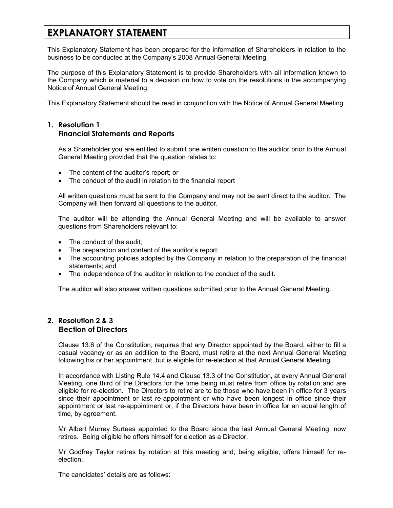# **EXPLANATORY STATEMENT**

This Explanatory Statement has been prepared for the information of Shareholders in relation to the business to be conducted at the Company's 2008 Annual General Meeting.

The purpose of this Explanatory Statement is to provide Shareholders with all information known to the Company which is material to a decision on how to vote on the resolutions in the accompanying Notice of Annual General Meeting.

This Explanatory Statement should be read in conjunction with the Notice of Annual General Meeting.

# **1. Resolution 1 Financial Statements and Reports**

As a Shareholder you are entitled to submit one written question to the auditor prior to the Annual General Meeting provided that the question relates to:

- The content of the auditor's report; or
- The conduct of the audit in relation to the financial report

All written questions must be sent to the Company and may not be sent direct to the auditor. The Company will then forward all questions to the auditor.

The auditor will be attending the Annual General Meeting and will be available to answer questions from Shareholders relevant to:

- The conduct of the audit:
- The preparation and content of the auditor's report;
- The accounting policies adopted by the Company in relation to the preparation of the financial statements; and
- The independence of the auditor in relation to the conduct of the audit.

The auditor will also answer written questions submitted prior to the Annual General Meeting.

# **2. Resolution 2 & 3 Election of Directors**

Clause 13.6 of the Constitution, requires that any Director appointed by the Board, either to fill a casual vacancy or as an addition to the Board, must retire at the next Annual General Meeting following his or her appointment, but is eligible for re-election at that Annual General Meeting.

In accordance with Listing Rule 14.4 and Clause 13.3 of the Constitution, at every Annual General Meeting, one third of the Directors for the time being must retire from office by rotation and are eligible for re-election. The Directors to retire are to be those who have been in office for 3 years since their appointment or last re-appointment or who have been longest in office since their appointment or last re-appointment or, if the Directors have been in office for an equal length of time, by agreement.

Mr Albert Murray Surtees appointed to the Board since the last Annual General Meeting, now retires. Being eligible he offers himself for election as a Director.

Mr Godfrey Taylor retires by rotation at this meeting and, being eligible, offers himself for reelection.

The candidates' details are as follows: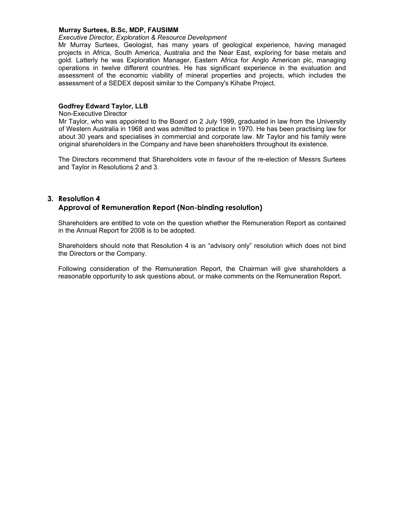#### **Murray Surtees, B.Sc, MDP, FAUSIMM**

#### *Executive Director, Exploration & Resource Development*

Mr Murray Surtees, Geologist, has many years of geological experience, having managed projects in Africa, South America, Australia and the Near East, exploring for base metals and gold. Latterly he was Exploration Manager, Eastern Africa for Anglo American plc, managing operations in twelve different countries. He has significant experience in the evaluation and assessment of the economic viability of mineral properties and projects, which includes the assessment of a SEDEX deposit similar to the Company's Kihabe Project.

#### **Godfrey Edward Taylor, LLB**

Non-Executive Director

Mr Taylor, who was appointed to the Board on 2 July 1999, graduated in law from the University of Western Australia in 1968 and was admitted to practice in 1970. He has been practising law for about 30 years and specialises in commercial and corporate law. Mr Taylor and his family were original shareholders in the Company and have been shareholders throughout its existence.

The Directors recommend that Shareholders vote in favour of the re-election of Messrs Surtees and Taylor in Resolutions 2 and 3.

#### **3. Resolution 4**

### **Approval of Remuneration Report (Non-binding resolution)**

Shareholders are entitled to vote on the question whether the Remuneration Report as contained in the Annual Report for 2008 is to be adopted.

Shareholders should note that Resolution 4 is an "advisory only" resolution which does not bind the Directors or the Company.

Following consideration of the Remuneration Report, the Chairman will give shareholders a reasonable opportunity to ask questions about, or make comments on the Remuneration Report.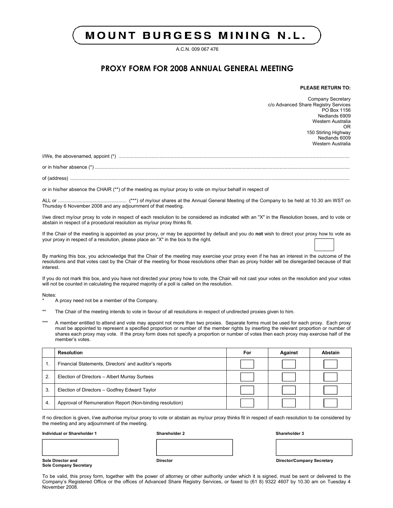# **MOUNT BURGESS MINING N.L.**

A.C.N. 009 067 476

# **PROXY FORM FOR 2008 ANNUAL GENERAL MEETING**

#### **PLEASE RETURN TO:**

Company Secretary c/o Advanced Share Registry Services PO Box 1156 Nedlands 6909 Western Australia OR 150 Stirling Highway Nedlands 6009 Western Australia

I/We, the abovenamed, appoint (\*) ........................................................................................................................................................................

or in his/her absence (\*) .........................................................................................................................................................................................

of (address) ...........................................................................................................................................................................................................

or in his/her absence the CHAIR (\*\*) of the meeting as my/our proxy to vote on my/our behalf in respect of

ALL or .................................................. (\*\*\*) of my/our shares at the Annual General Meeting of the Company to be held at 10.30 am WST on Thursday 6 November 2008 and any adjournment of that meeting.

I/we direct my/our proxy to vote in respect of each resolution to be considered as indicated with an "X" in the Resolution boxes, and to vote or abstain in respect of a procedural resolution as my/our proxy thinks fit.

If the Chair of the meeting is appointed as your proxy, or may be appointed by default and you do **not** wish to direct your proxy how to vote as your proxy in respect of a resolution, please place an "X" in the box to the right.

By marking this box, you acknowledge that the Chair of the meeting may exercise your proxy even if he has an interest in the outcome of the resolutions and that votes cast by the Chair of the meeting for those resolutions other than as proxy holder will be disregarded because of that interest.

If you do not mark this box, and you have not directed your proxy how to vote, the Chair will not cast your votes on the resolution and your votes will not be counted in calculating the required majority of a poll is called on the resolution.

Notes:

A proxy need not be a member of the Company.

- \*\* The Chair of the meeting intends to vote in favour of all resolutions in respect of undirected proxies given to him.
- \*\*\* A member entitled to attend and vote may appoint not more than two proxies. Separate forms must be used for each proxy. Each proxy must be appointed to represent a specified proportion or number of the member rights by inserting the relevant proportion or number of shares each proxy may vote. If the proxy form does not specify a proportion or number of votes then each proxy may exercise half of the member's votes.

|                | Resolution                                               | For | Against | Abstain |
|----------------|----------------------------------------------------------|-----|---------|---------|
| 1.             | Financial Statements, Directors' and auditor's reports   |     |         |         |
| $\overline{2}$ | Election of Directors - Albert Murray Surtees            |     |         |         |
| 3.             | Election of Directors - Godfrey Edward Taylor            |     |         |         |
| -4.            | Approval of Remuneration Report (Non-binding resolution) |     |         |         |

If no direction is given, I/we authorise my/our proxy to vote or abstain as my/our proxy thinks fit in respect of each resolution to be considered by the meeting and any adjournment of the meeting.

**Individual or Shareholder 1 Shareholder 2 Shareholder 3**

**Sole Company Secretary**

**Sole Director and Director Director/Company Secretary**

To be valid, this proxy form, together with the power of attorney or other authority under which it is signed, must be sent or delivered to the Company's Registered Office or the offices of Advanced Share Registry Services, or faxed to (61 8) 9322 4607 by 10.30 am on Tuesday 4 November 2008.